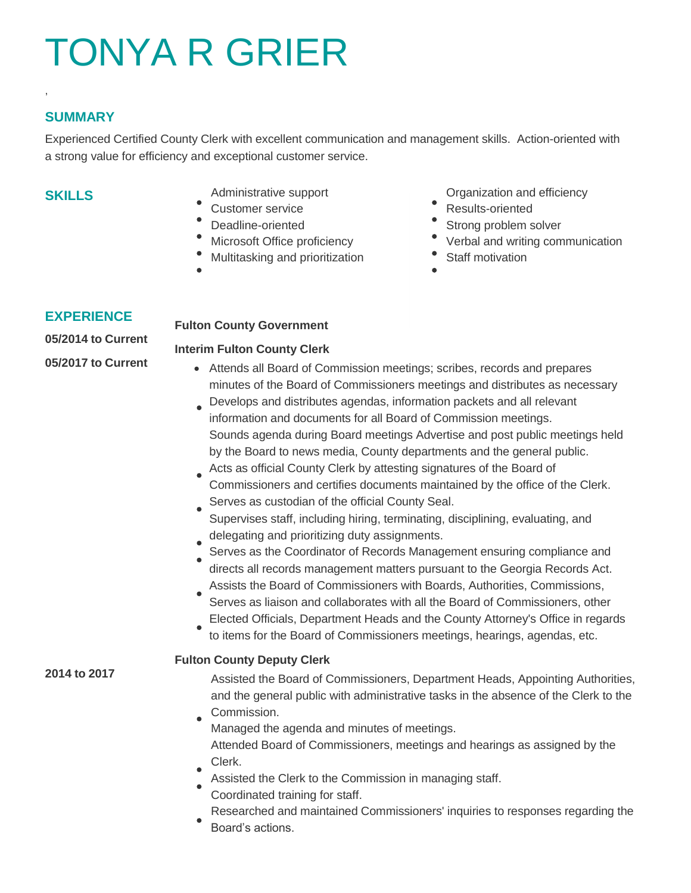# TONYA R GRIER

## **SUMMARY**

,

Experienced Certified County Clerk with excellent communication and management skills. Action-oriented with a strong value for efficiency and exceptional customer service.

## **SKILLS**

- 
- 
- 
- 
- Multitasking and prioritization **Conserverse Staff motivation** 
	-

Administrative support **CERC CORGISTS** Organization and efficiency

- Customer service **Results-oriented**
- Deadline-oriented **Strong problem solver** Strong problem solver
- Microsoft Office proficiency **Contains the Verbal and writing communication** 
	-

## **EXPERIENCE**

**2014 to 2017**

**05/2014 to Current 05/2017 to Current**

### **Fulton County Government**

#### **Interim Fulton County Clerk**

- Attends all Board of Commission meetings; scribes, records and prepares minutes of the Board of Commissioners meetings and distributes as necessary
- Develops and distributes agendas, information packets and all relevant information and documents for all Board of Commission meetings. Sounds agenda during Board meetings Advertise and post public meetings held by the Board to news media, County departments and the general public.
- Acts as official County Clerk by attesting signatures of the Board of Commissioners and certifies documents maintained by the office of the Clerk. Serves as custodian of the official County Seal.
- Supervises staff, including hiring, terminating, disciplining, evaluating, and
- delegating and prioritizing duty assignments.
- Serves as the Coordinator of Records Management ensuring compliance and directs all records management matters pursuant to the Georgia Records Act.
- Assists the Board of Commissioners with Boards, Authorities, Commissions, Serves as liaison and collaborates with all the Board of Commissioners, other
- Elected Officials, Department Heads and the County Attorney's Office in regards to items for the Board of Commissioners meetings, hearings, agendas, etc.

### **Fulton County Deputy Clerk**

Assisted the Board of Commissioners, Department Heads, Appointing Authorities, and the general public with administrative tasks in the absence of the Clerk to the Commission.

- Managed the agenda and minutes of meetings. Attended Board of Commissioners, meetings and hearings as assigned by the Clerk.
- Assisted the Clerk to the Commission in managing staff.
- Coordinated training for staff.
- Researched and maintained Commissioners' inquiries to responses regarding the
- Board's actions.